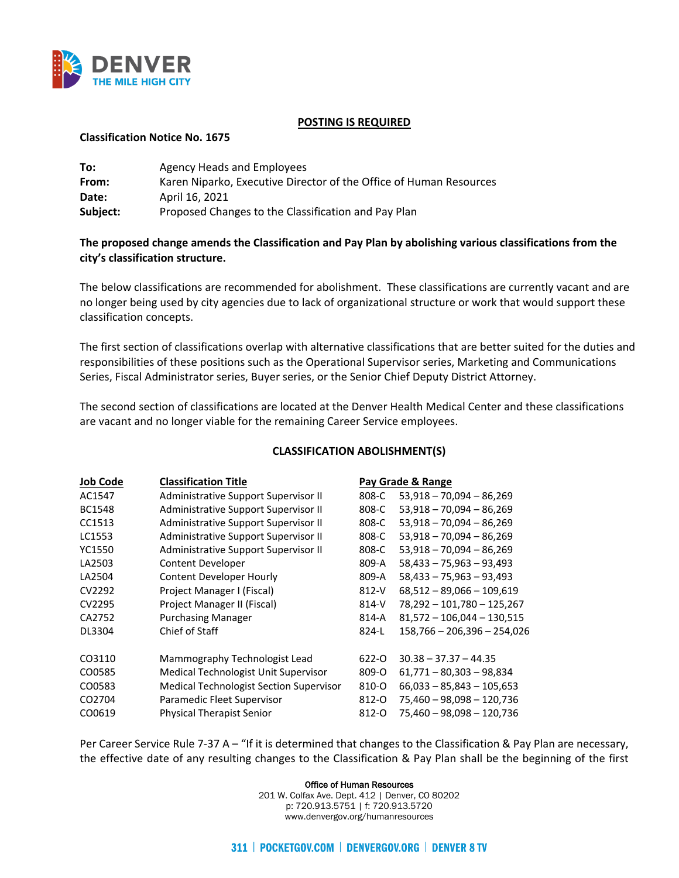

## **POSTING IS REQUIRED**

## **Classification Notice No. 1675**

| To:      | Agency Heads and Employees                                         |
|----------|--------------------------------------------------------------------|
| From:    | Karen Niparko, Executive Director of the Office of Human Resources |
| Date:    | April 16, 2021                                                     |
| Subject: | Proposed Changes to the Classification and Pay Plan                |

## **The proposed change amends the Classification and Pay Plan by abolishing various classifications from the city's classification structure.**

The below classifications are recommended for abolishment. These classifications are currently vacant and are no longer being used by city agencies due to lack of organizational structure or work that would support these classification concepts.

The first section of classifications overlap with alternative classifications that are better suited for the duties and responsibilities of these positions such as the Operational Supervisor series, Marketing and Communications Series, Fiscal Administrator series, Buyer series, or the Senior Chief Deputy District Attorney.

The second section of classifications are located at the Denver Health Medical Center and these classifications are vacant and no longer viable for the remaining Career Service employees.

## **CLASSIFICATION ABOLISHMENT(S)**

| <b>Job Code</b> | <b>Classification Title</b>                    | Pay Grade & Range |                              |
|-----------------|------------------------------------------------|-------------------|------------------------------|
| AC1547          | Administrative Support Supervisor II           | 808-C             | $53,918 - 70,094 - 86,269$   |
| <b>BC1548</b>   | Administrative Support Supervisor II           | 808-C             | $53,918 - 70,094 - 86,269$   |
| CC1513          | Administrative Support Supervisor II           | 808-C             | $53,918 - 70,094 - 86,269$   |
| LC1553          | Administrative Support Supervisor II           | 808-C             | $53,918 - 70,094 - 86,269$   |
| <b>YC1550</b>   | Administrative Support Supervisor II           | 808-C             | $53,918 - 70,094 - 86,269$   |
| LA2503          | Content Developer                              | 809-A             | $58,433 - 75,963 - 93,493$   |
| LA2504          | <b>Content Developer Hourly</b>                | 809-A             | $58,433 - 75,963 - 93,493$   |
| CV2292          | Project Manager I (Fiscal)                     | 812-V             | $68,512 - 89,066 - 109,619$  |
| CV2295          | Project Manager II (Fiscal)                    | $814-V$           | 78,292 - 101,780 - 125,267   |
| CA2752          | <b>Purchasing Manager</b>                      | 814-A             | $81,572 - 106,044 - 130,515$ |
| DL3304          | Chief of Staff                                 | 824-L             | 158,766 - 206,396 - 254,026  |
| CO3110          | Mammography Technologist Lead                  | 622-0             | $30.38 - 37.37 - 44.35$      |
| CO0585          | Medical Technologist Unit Supervisor           | 809-O             | $61,771 - 80,303 - 98,834$   |
| CO0583          | <b>Medical Technologist Section Supervisor</b> | 810-0             | $66,033 - 85,843 - 105,653$  |
| CO2704          | Paramedic Fleet Supervisor                     | 812-0             | 75,460 - 98,098 - 120,736    |
| CO0619          | <b>Physical Therapist Senior</b>               | 812-0             | 75,460 - 98,098 - 120,736    |

Per Career Service Rule 7-37 A – "If it is determined that changes to the Classification & Pay Plan are necessary, the effective date of any resulting changes to the Classification & Pay Plan shall be the beginning of the first

> Office of Human Resources 201 W. Colfax Ave. Dept. 412 | Denver, CO 80202 p: 720.913.5751 | f: 720.913.5720 www.denvergov.org/humanresources